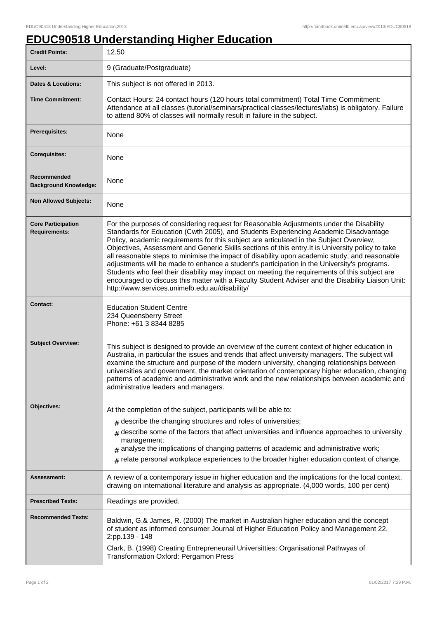## **EDUC90518 Understanding Higher Education**

| <b>Credit Points:</b>                             | 12.50                                                                                                                                                                                                                                                                                                                                                                                                                                                                                                                                                                                                                                                                                                                                                                                                                                   |
|---------------------------------------------------|-----------------------------------------------------------------------------------------------------------------------------------------------------------------------------------------------------------------------------------------------------------------------------------------------------------------------------------------------------------------------------------------------------------------------------------------------------------------------------------------------------------------------------------------------------------------------------------------------------------------------------------------------------------------------------------------------------------------------------------------------------------------------------------------------------------------------------------------|
| Level:                                            | 9 (Graduate/Postgraduate)                                                                                                                                                                                                                                                                                                                                                                                                                                                                                                                                                                                                                                                                                                                                                                                                               |
| <b>Dates &amp; Locations:</b>                     | This subject is not offered in 2013.                                                                                                                                                                                                                                                                                                                                                                                                                                                                                                                                                                                                                                                                                                                                                                                                    |
| <b>Time Commitment:</b>                           | Contact Hours: 24 contact hours (120 hours total commitment) Total Time Commitment:<br>Attendance at all classes (tutorial/seminars/practical classes/lectures/labs) is obligatory. Failure<br>to attend 80% of classes will normally result in failure in the subject.                                                                                                                                                                                                                                                                                                                                                                                                                                                                                                                                                                 |
| Prerequisites:                                    | None                                                                                                                                                                                                                                                                                                                                                                                                                                                                                                                                                                                                                                                                                                                                                                                                                                    |
| <b>Corequisites:</b>                              | None                                                                                                                                                                                                                                                                                                                                                                                                                                                                                                                                                                                                                                                                                                                                                                                                                                    |
| Recommended<br><b>Background Knowledge:</b>       | None                                                                                                                                                                                                                                                                                                                                                                                                                                                                                                                                                                                                                                                                                                                                                                                                                                    |
| <b>Non Allowed Subjects:</b>                      | None                                                                                                                                                                                                                                                                                                                                                                                                                                                                                                                                                                                                                                                                                                                                                                                                                                    |
| <b>Core Participation</b><br><b>Requirements:</b> | For the purposes of considering request for Reasonable Adjustments under the Disability<br>Standards for Education (Cwth 2005), and Students Experiencing Academic Disadvantage<br>Policy, academic requirements for this subject are articulated in the Subject Overview,<br>Objectives, Assessment and Generic Skills sections of this entry. It is University policy to take<br>all reasonable steps to minimise the impact of disability upon academic study, and reasonable<br>adjustments will be made to enhance a student's participation in the University's programs.<br>Students who feel their disability may impact on meeting the requirements of this subject are<br>encouraged to discuss this matter with a Faculty Student Adviser and the Disability Liaison Unit:<br>http://www.services.unimelb.edu.au/disability/ |
| <b>Contact:</b>                                   | <b>Education Student Centre</b><br>234 Queensberry Street<br>Phone: +61 3 8344 8285                                                                                                                                                                                                                                                                                                                                                                                                                                                                                                                                                                                                                                                                                                                                                     |
| <b>Subject Overview:</b>                          | This subject is designed to provide an overview of the current context of higher education in<br>Australia, in particular the issues and trends that affect university managers. The subject will<br>examine the structure and purpose of the modern university, changing relationships between<br>universities and government, the market orientation of contemporary higher education, changing<br>patterns of academic and administrative work and the new relationships between academic and<br>administrative leaders and managers.                                                                                                                                                                                                                                                                                                |
| Objectives:                                       | At the completion of the subject, participants will be able to:                                                                                                                                                                                                                                                                                                                                                                                                                                                                                                                                                                                                                                                                                                                                                                         |
|                                                   | $_{\text{\#}}$ describe the changing structures and roles of universities;                                                                                                                                                                                                                                                                                                                                                                                                                                                                                                                                                                                                                                                                                                                                                              |
|                                                   | $_{\texttt{\#}}$ describe some of the factors that affect universities and influence approaches to university                                                                                                                                                                                                                                                                                                                                                                                                                                                                                                                                                                                                                                                                                                                           |
|                                                   | management;<br>$*$ analyse the implications of changing patterns of academic and administrative work;                                                                                                                                                                                                                                                                                                                                                                                                                                                                                                                                                                                                                                                                                                                                   |
|                                                   | $_{\#}$ relate personal workplace experiences to the broader higher education context of change.                                                                                                                                                                                                                                                                                                                                                                                                                                                                                                                                                                                                                                                                                                                                        |
| <b>Assessment:</b>                                | A review of a contemporary issue in higher education and the implications for the local context,<br>drawing on international literature and analysis as appropriate. (4,000 words, 100 per cent)                                                                                                                                                                                                                                                                                                                                                                                                                                                                                                                                                                                                                                        |
| <b>Prescribed Texts:</b>                          | Readings are provided.                                                                                                                                                                                                                                                                                                                                                                                                                                                                                                                                                                                                                                                                                                                                                                                                                  |
| <b>Recommended Texts:</b>                         | Baldwin, G.& James, R. (2000) The market in Australian higher education and the concept<br>of student as informed consumer Journal of Higher Education Policy and Management 22,<br>2:pp.139 - 148<br>Clark, B. (1998) Creating Entrepreneurail Universitties: Organisational Pathwyas of<br>Transformation Oxford: Pergamon Press                                                                                                                                                                                                                                                                                                                                                                                                                                                                                                      |